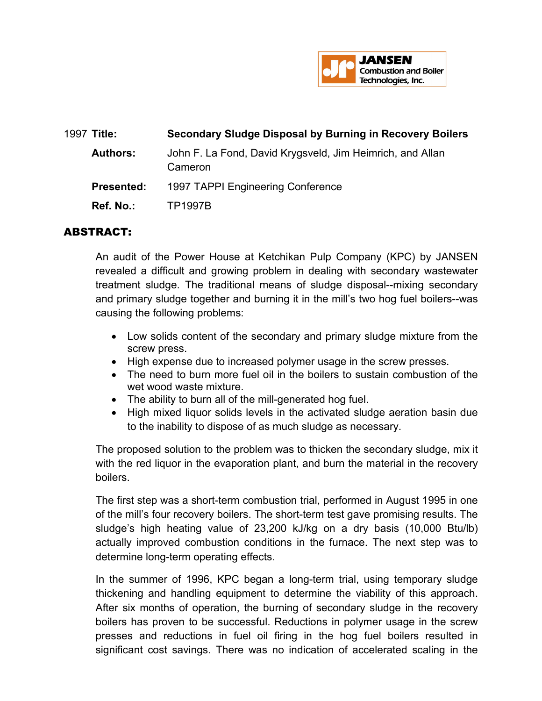

| 1997 Title:       | <b>Secondary Sludge Disposal by Burning in Recovery Boilers</b>      |
|-------------------|----------------------------------------------------------------------|
| <b>Authors:</b>   | John F. La Fond, David Krygsveld, Jim Heimrich, and Allan<br>Cameron |
| <b>Presented:</b> | 1997 TAPPI Engineering Conference                                    |
| <b>Ref. No.:</b>  | <b>TP1997B</b>                                                       |
|                   |                                                                      |

## ABSTRACT:

An audit of the Power House at Ketchikan Pulp Company (KPC) by JANSEN revealed a difficult and growing problem in dealing with secondary wastewater treatment sludge. The traditional means of sludge disposal--mixing secondary and primary sludge together and burning it in the mill's two hog fuel boilers--was causing the following problems:

- Low solids content of the secondary and primary sludge mixture from the screw press.
- High expense due to increased polymer usage in the screw presses.
- The need to burn more fuel oil in the boilers to sustain combustion of the wet wood waste mixture.
- The ability to burn all of the mill-generated hog fuel.
- High mixed liquor solids levels in the activated sludge aeration basin due to the inability to dispose of as much sludge as necessary.

The proposed solution to the problem was to thicken the secondary sludge, mix it with the red liquor in the evaporation plant, and burn the material in the recovery boilers.

The first step was a short-term combustion trial, performed in August 1995 in one of the mill's four recovery boilers. The short-term test gave promising results. The sludge's high heating value of 23,200 kJ/kg on a dry basis (10,000 Btu/lb) actually improved combustion conditions in the furnace. The next step was to determine long-term operating effects.

In the summer of 1996, KPC began a long-term trial, using temporary sludge thickening and handling equipment to determine the viability of this approach. After six months of operation, the burning of secondary sludge in the recovery boilers has proven to be successful. Reductions in polymer usage in the screw presses and reductions in fuel oil firing in the hog fuel boilers resulted in significant cost savings. There was no indication of accelerated scaling in the